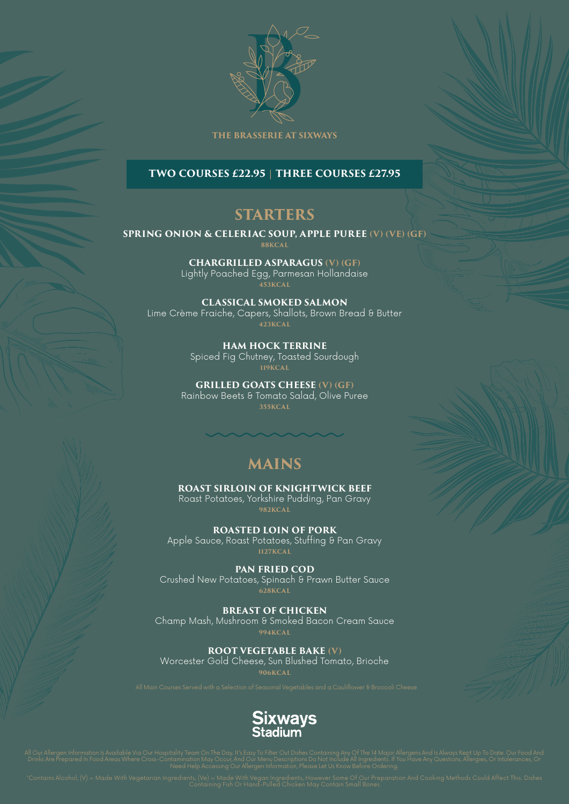

#### **THE BRASSERIE AT SIXWAYS**

### **TWO COURSES £22.95 | THREE COURSES £27.95**

### **STARTERS**

#### **SPRING ONION & CELERIAC SOUP, APPLE PUREE (V) (VE) (GF)**

**88KCAL**

**CHARGRILLED ASPARAGUS (V) (GF)** Lightly Poached Egg, Parmesan Hollandaise **453KCAL**

**CLASSICAL SMOKED SALMON**  Lime Crème Fraiche, Capers, Shallots, Brown Bread & Butter **423KCAL**

> **HAM HOCK TERRINE**  Spiced Fig Chutney, Toasted Sourdough **119KCAL**

**GRILLED GOATS CHEESE (V) (GF)** Rainbow Beets & Tomato Salad, Olive Puree **355KCAL**

## **MAINS**

**ROAST SIRLOIN OF KNIGHTWICK BEEF** Roast Potatoes, Yorkshire Pudding, Pan Gravy

**982KCAL**

**ROASTED LOIN OF PORK** Apple Sauce, Roast Potatoes, Stuffing & Pan Gravy **1127KCAL**

**PAN FRIED COD** Crushed New Potatoes, Spinach & Prawn Butter Sauce **628KCAL**

**BREAST OF CHICKEN** Champ Mash, Mushroom & Smoked Bacon Cream Sauce **994KCAL**

**ROOT VEGETABLE BAKE (V)** Worcester Gold Cheese, Sun Blushed Tomato, Brioche **906KCAL**